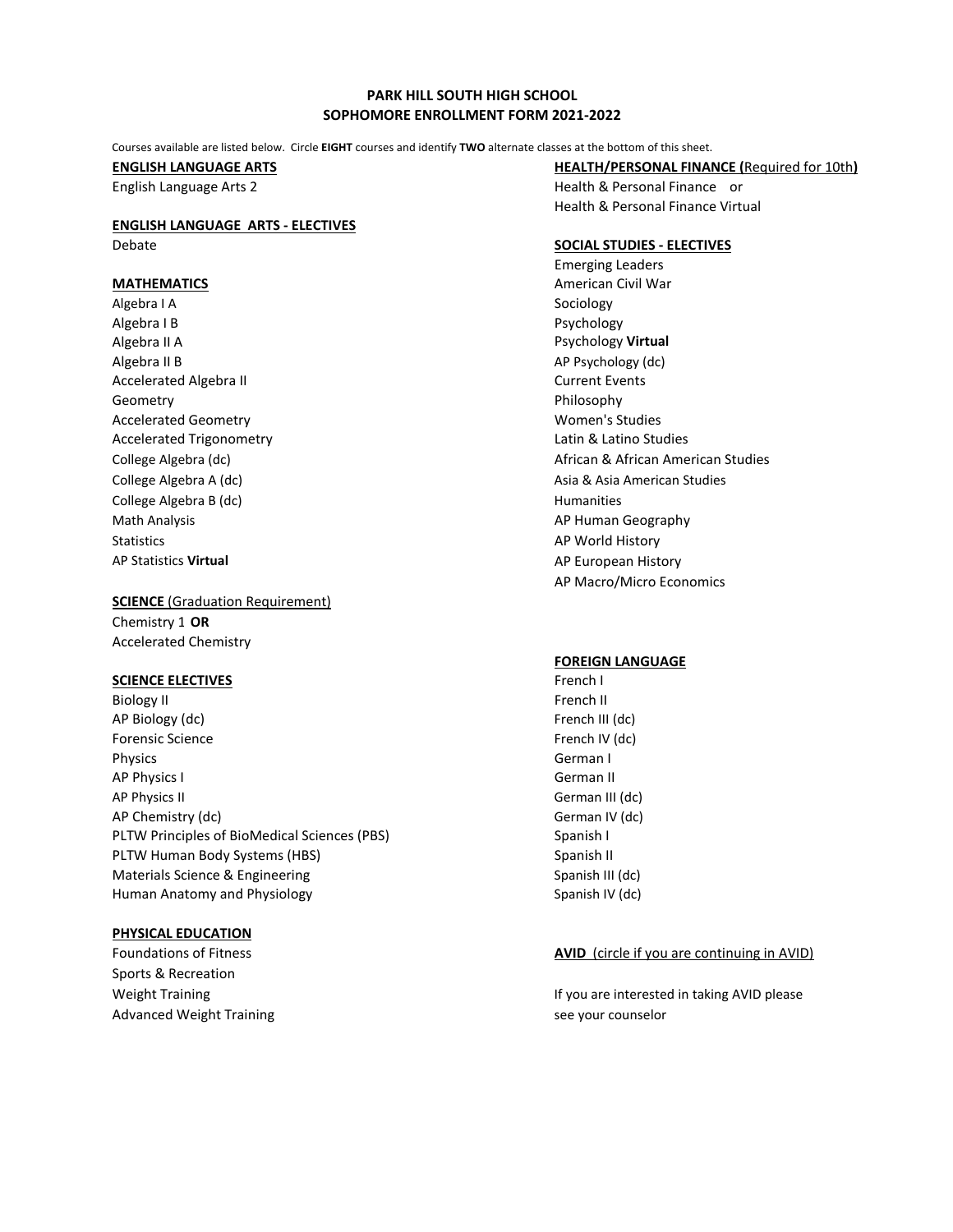# **PARK HILL SOUTH HIGH SCHOOL SOPHOMORE ENROLLMENT FORM 2021-2022**

Courses available are listed below. Circle **EIGHT** courses and identify **TWO** alternate classes at the bottom of this sheet.

# **ENGLISH LANGUAGE ARTS - ELECTIVES**

Algebra I A Sociology Algebra I B Psychology Algebra II A Psychology **Virtual**  Algebra II B Apple and the state of the state of the state of the AP Psychology (dc) Accelerated Algebra II Current Events Geometry **Example 2018** Contract a structure of the Philosophy Accelerated Geometry **Material Studies** Accelerated Geometry Accelerated Trigonometry **Latin & Latin & Latino Studies** College Algebra B (dc) **Humanities Humanities** Math Analysis **AP Human Geography AP Human Geography** Statistics AP World History AP World History AP Statistics **Virtual** Apple 2012 12:00 AP European History

# **SCIENCE** (Graduation Requirement) Chemistry 1 **OR**

Accelerated Chemistry

## **SCIENCE ELECTIVES French I**

Biology II French II French II French II French II AP Biology (dc) **Figure 2 French III** (dc) Forensic Science **French IV** (dc) Physics **German** I AP Physics I German II AP Physics II German III (dc) AP Chemistry (dc) German IV (dc) PLTW Principles of BioMedical Sciences (PBS) Spanish I PLTW Human Body Systems (HBS) Spanish II Spanish II Materials Science & Engineering Spanish III (dc) Spanish III (dc) Human Anatomy and Physiology Spanish IV (dc) Spanish IV (dc)

# **PHYSICAL EDUCATION**

Sports & Recreation Advanced Weight Training see your counselor

**ENGLISH LANGUAGE ARTS HEALTH/PERSONAL FINANCE (**Required for 10th**)**

English Language Arts 2 Health & Personal Finance or Health & Personal Finance Virtual

# Debate **SOCIAL STUDIES - ELECTIVES**

Emerging Leaders **MATHEMATICS** MATHEMATICS **American Civil War** College Algebra (dc) **African American Studies** African American Studies College Algebra A (dc) **Asia American Studies** Asia American Studies AP Macro/Micro Economics

## **FOREIGN LANGUAGE**

## Foundations of Fitness **AVID** (circle if you are continuing in AVID)

Weight Training If you are interested in taking AVID please